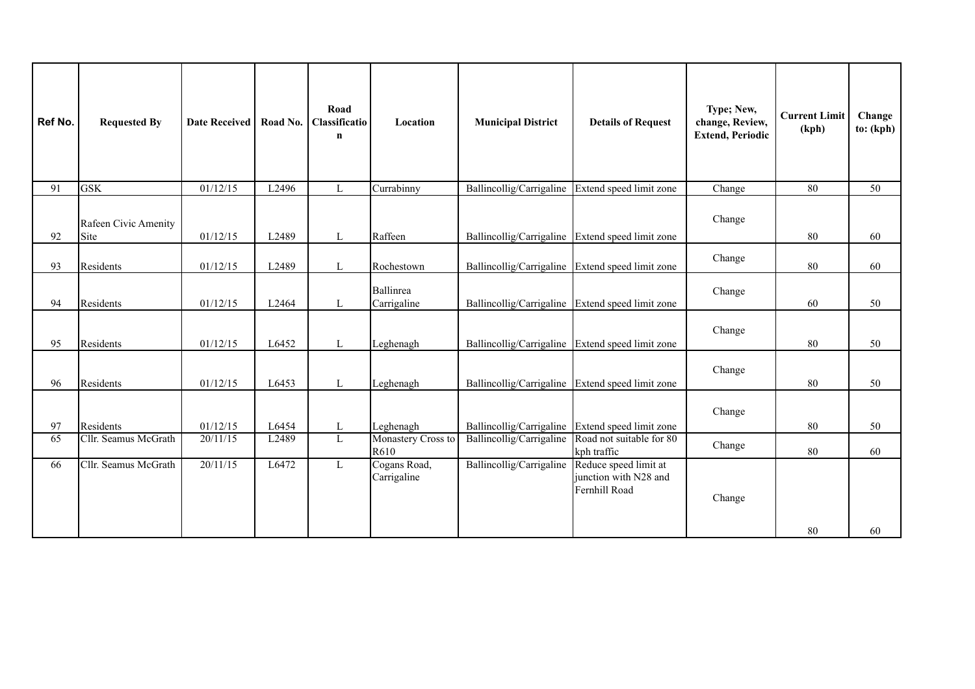| Ref No. | <b>Requested By</b>          | Date Received   Road No. |       | Road<br>Classificatio<br>$\mathbf n$ | Location                    | <b>Municipal District</b> | <b>Details of Request</b>                                       | Type; New,<br>change, Review,<br><b>Extend, Periodic</b> | <b>Current Limit</b><br>(kph) | Change<br>to: (kph) |
|---------|------------------------------|--------------------------|-------|--------------------------------------|-----------------------------|---------------------------|-----------------------------------------------------------------|----------------------------------------------------------|-------------------------------|---------------------|
| 91      | <b>GSK</b>                   | 01/12/15                 | L2496 | $\mathbf L$                          | Currabinny                  | Ballincollig/Carrigaline  | Extend speed limit zone                                         | Change                                                   | 80                            | 50                  |
| 92      | Rafeen Civic Amenity<br>Site | 01/12/15                 | L2489 | L                                    | Raffeen                     |                           | Ballincollig/Carrigaline Extend speed limit zone                | Change                                                   | 80                            | 60                  |
| 93      | Residents                    | 01/12/15                 | L2489 | L                                    | Rochestown                  | Ballincollig/Carrigaline  | Extend speed limit zone                                         | Change                                                   | $80\,$                        | 60                  |
| 94      | Residents                    | 01/12/15                 | L2464 | L                                    | Ballinrea<br>Carrigaline    | Ballincollig/Carrigaline  | Extend speed limit zone                                         | Change                                                   | 60                            | 50                  |
| 95      | Residents                    | 01/12/15                 | L6452 | L                                    | Leghenagh                   | Ballincollig/Carrigaline  | Extend speed limit zone                                         | Change                                                   | $80\,$                        | 50                  |
| 96      | Residents                    | 01/12/15                 | L6453 | $\mathbf{L}$                         | Leghenagh                   |                           | Ballincollig/Carrigaline Extend speed limit zone                | Change                                                   | $80\,$                        | 50                  |
| 97      | Residents                    | 01/12/15                 | L6454 | L                                    | Leghenagh                   | Ballincollig/Carrigaline  | Extend speed limit zone                                         | Change                                                   | 80                            | 50                  |
| 65      | Cllr. Seamus McGrath         | 20/11/15                 | L2489 | L                                    | Monastery Cross to<br>R610  | Ballincollig/Carrigaline  | Road not suitable for 80<br>kph traffic                         | Change                                                   | 80                            | 60                  |
| 66      | Cllr. Seamus McGrath         | 20/11/15                 | L6472 | L                                    | Cogans Road,<br>Carrigaline | Ballincollig/Carrigaline  | Reduce speed limit at<br>junction with N28 and<br>Fernhill Road | Change                                                   | 80                            | 60                  |